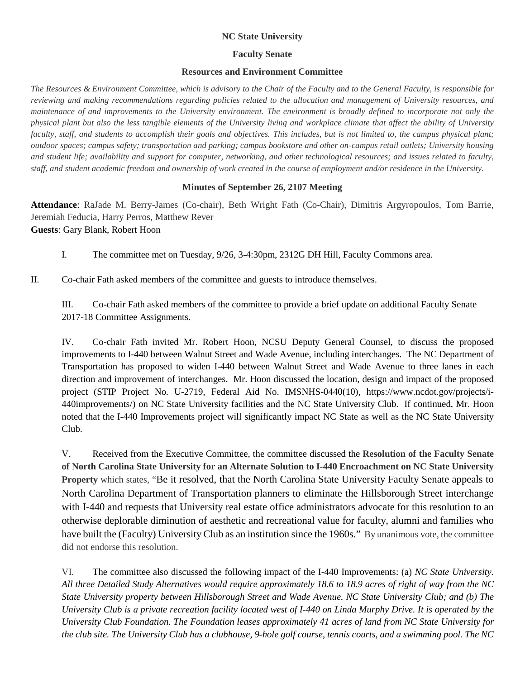## **NC State University**

## **Faculty Senate**

## **Resources and Environment Committee**

*The Resources & Environment Committee, which is advisory to the Chair of the Faculty and to the General Faculty, is responsible for reviewing and making recommendations regarding policies related to the allocation and management of University resources, and maintenance of and improvements to the University environment. The environment is broadly defined to incorporate not only the physical plant but also the less tangible elements of the University living and workplace climate that affect the ability of University faculty, staff, and students to accomplish their goals and objectives. This includes, but is not limited to, the campus physical plant; outdoor spaces; campus safety; transportation and parking; campus bookstore and other on-campus retail outlets; University housing and student life; availability and support for computer, networking, and other technological resources; and issues related to faculty, staff, and student academic freedom and ownership of work created in the course of employment and/or residence in the University.*

## **Minutes of September 26, 2107 Meeting**

**Attendance**: RaJade M. Berry-James (Co-chair), Beth Wright Fath (Co-Chair), Dimitris Argyropoulos, Tom Barrie, Jeremiah Feducia, Harry Perros, Matthew Rever **Guests**: Gary Blank, Robert Hoon

I. The committee met on Tuesday, 9/26, 3-4:30pm, 2312G DH Hill, Faculty Commons area.

II. Co-chair Fath asked members of the committee and guests to introduce themselves.

III. Co-chair Fath asked members of the committee to provide a brief update on additional Faculty Senate 2017-18 Committee Assignments.

IV. Co-chair Fath invited Mr. Robert Hoon, NCSU Deputy General Counsel, to discuss the proposed improvements to I-440 between Walnut Street and Wade Avenue, including interchanges. The NC Department of Transportation has proposed to widen I-440 between Walnut Street and Wade Avenue to three lanes in each direction and improvement of interchanges. Mr. Hoon discussed the location, design and impact of the proposed project (STIP Project No. U-2719, Federal Aid No. IMSNHS-0440(10), https://www.ncdot.gov/projects/i-440improvements/) on NC State University facilities and the NC State University Club. If continued, Mr. Hoon noted that the I-440 Improvements project will significantly impact NC State as well as the NC State University Club.

V. Received from the Executive Committee, the committee discussed the **Resolution of the Faculty Senate of North Carolina State University for an Alternate Solution to I-440 Encroachment on NC State University Property** which states, "Be it resolved, that the North Carolina State University Faculty Senate appeals to North Carolina Department of Transportation planners to eliminate the Hillsborough Street interchange with I-440 and requests that University real estate office administrators advocate for this resolution to an otherwise deplorable diminution of aesthetic and recreational value for faculty, alumni and families who have built the (Faculty) University Club as an institution since the 1960s." By unanimous vote, the committee did not endorse this resolution.

VI. The committee also discussed the following impact of the I-440 Improvements: (a) *NC State University. All three Detailed Study Alternatives would require approximately 18.6 to 18.9 acres of right of way from the NC State University property between Hillsborough Street and Wade Avenue. NC State University Club; and (b) The University Club is a private recreation facility located west of I-440 on Linda Murphy Drive. It is operated by the University Club Foundation. The Foundation leases approximately 41 acres of land from NC State University for the club site. The University Club has a clubhouse, 9-hole golf course, tennis courts, and a swimming pool. The NC*